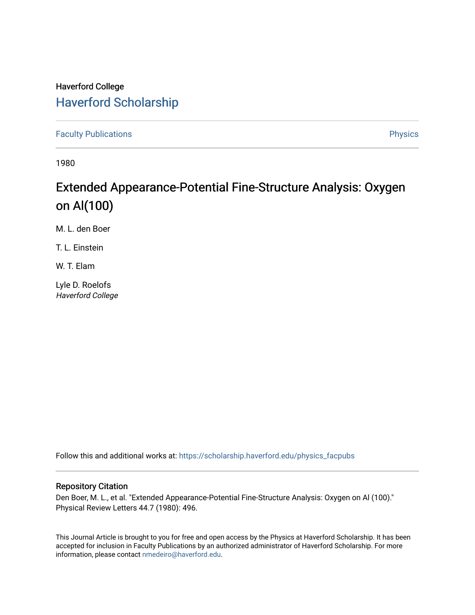## Haverford College [Haverford Scholarship](https://scholarship.haverford.edu/)

[Faculty Publications](https://scholarship.haverford.edu/physics_facpubs) **Physics** 

1980

# Extended Appearance-Potential Fine-Structure Analysis: Oxygen on Al(100)

M. L. den Boer

T. L. Einstein

W. T. Elam

Lyle D. Roelofs Haverford College

Follow this and additional works at: [https://scholarship.haverford.edu/physics\\_facpubs](https://scholarship.haverford.edu/physics_facpubs?utm_source=scholarship.haverford.edu%2Fphysics_facpubs%2F267&utm_medium=PDF&utm_campaign=PDFCoverPages) 

### Repository Citation

Den Boer, M. L., et al. "Extended Appearance-Potential Fine-Structure Analysis: Oxygen on Al (100)." Physical Review Letters 44.7 (1980): 496.

This Journal Article is brought to you for free and open access by the Physics at Haverford Scholarship. It has been accepted for inclusion in Faculty Publications by an authorized administrator of Haverford Scholarship. For more information, please contact [nmedeiro@haverford.edu.](mailto:nmedeiro@haverford.edu)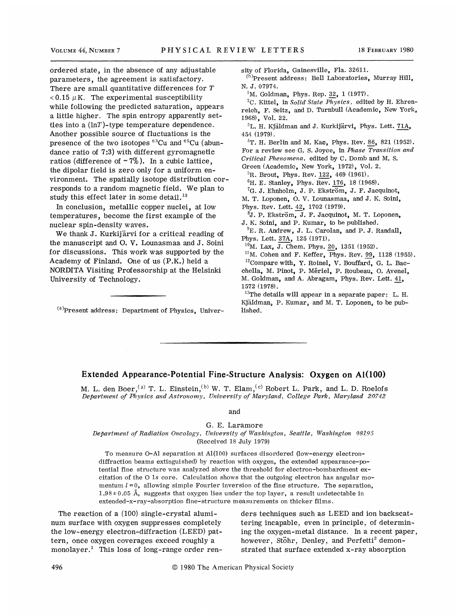ordered state, in the absence of any adjustable parameters, the agreement is satisfactory. There are small quantitative differences for T  $< 0.15 \mu K$ . The experimental susceptibility while following the predicted saturation, appears a little higher. The spin entropy apparently settles into a  $(lnT)$ -type temperature dependence. Another possible source of fluctuations is the presence of the two isotopes  ${}^{63}Cu$  and  ${}^{65}Cu$  (abundance ratio of 7:3) with different gyromagnetic ratios (difference of  $\sim$  7%). In a cubic lattice, the dipolar field is zero only for a uniform environment. The spatially isotope distribution corresponds to a random magnetic field. We plan to<br>study this effect later in some detail.<sup>13</sup> study this effect later in some detail.

In conclusion, metallic copper nuclei, at low temperatures, become the first example of the nuclear spin-density waves.

We thank J. Kurkijärvi for a critical reading of the manuscript and O. V. Lounasmaa and J. Soini for discussions. This work was supported by the Academy of Finland. One of us  $(P.K.)$  held a NORDITA Visiting Professorship at the Helsinki University of Technology.

 $(a)$ Present address: Department of Physics, Univer-

sity of Florida, Gainesville, Fla. 32611.

Present address: Bell Laboratories, Murray Hill, N. J. 07974.

<sup>1</sup>M. Goldman, Phys. Rep. 32, 1 (1977).

<sup>2</sup>C. Kittel, in Solid State Physics, edited by H. Ehrenreich, F. Seitz, and D. Turnbull (Academic, New York, 1968), Vol. 22.

 ${}^{3}$ L. H. Kjäldman and J. Kurkijärvi, Phys. Lett. 71A, <sup>454</sup> (1979).

 ${}^{4}$ T. H. Berlin and M. Kac, Phys. Rev. 86, 821 (1952). For a review see G. S. Joyce, in Phase Transition and Critical Phenomena, edited by C. Domb and M. S.

Green (Academic, New York, 1972), Vol. 2.

 ${}^{5}R$ . Brout, Phys. Rev. 122, 469 (1961).  ${}^{6}$ H. E. Stanley, Phys. Rev. 176, 18 (1968).

 ${}^{7}G.$  J. Ehnholm, J. P. Ekström, J. F. Jacquinot, M. T. Loponen, O. V. Lounasmaa, and J. K. Soini,

Phys. Rev. Lett. 42, 1702 (1979).

 ${}^{8}$ J. P. Ekström, J. F. Jacquinot, M. T. Loponen, J. K. Soini, and P. Kumar, to be published.

 ${}^{9}E.$  R. Andrew, J. L. Carolan, and P. J. Randall, Phys. Lett. 37A, 125 (1971).

 $10$ M. Lax, J. Chem. Phys. 20, 1351 (1952).

 $^{11}$ M. Cohen and F. Keffer, Phys. Rev. 99, 1128 (1955).  $^{12}$ Compare with, Y. Roinel, V. Bouffard, G. L. Bacchella, M. Pinot, P. Meriel, P. Houbeau, O. Avenel, M. Goldman, and A. Abragam, Phys. Rev. Lett. 41,

1572 (1978).

 $13$ The details will appear in a separate paper: L. H. Kjäldman, P. Kumar, and M. T. Loponen, to be published.

#### Extended Appearance-Potential Fine-Structure Analysis: Oxygen on Al(100)

M. L. den Boer, <sup>(a)</sup> T. L. Einstein, <sup>(b)</sup> W. T. Elam, <sup>(c)</sup> Robert L. Park, and L. D. Roelofs Department of Physics and Astronomy, University of Maryland, College Park, Maryland 20742

and

Q. E. Laramore

Department of Radiation Oncology, Unioersity of Washington, Seattle, Washington 98195 (Received 18 July 1979)

To measure 0-Al separation at Al(100) surfaces disordered (low-energy electrondiffraction beams extinguished) by reaction with oxygen, the extended appearance-potential fine structure was analyzed above the threshold for electron-bombardment excitation of the  $O$  1s core. Calculation shows that the outgoing electron has angular momentum  $l = 0$ , allowing simple Fourier inversion of the fine structure. The separation,  $1.98 \pm 0.05$  Å, suggests that oxygen lies under the top layer, a result undetectable in extended-x-ray-absorption fine-structure measurements on thicker films.

The reaction of a (100) single-crystal aluminum surface with oxygen suppresses completely the low-energy electron-diffraction (LEED) pattern, once oxygen coverages exceed roughly a monolayer.<sup>1</sup> This loss of long-range order renders techniques such as LEED and ion backscattering incapable, even in principle, of determining the oxygen-metal distance. In a recent paper, however, Stöhr, Denley, and Perfetti<sup>2</sup> demonstrated that surface extended x-ray absorption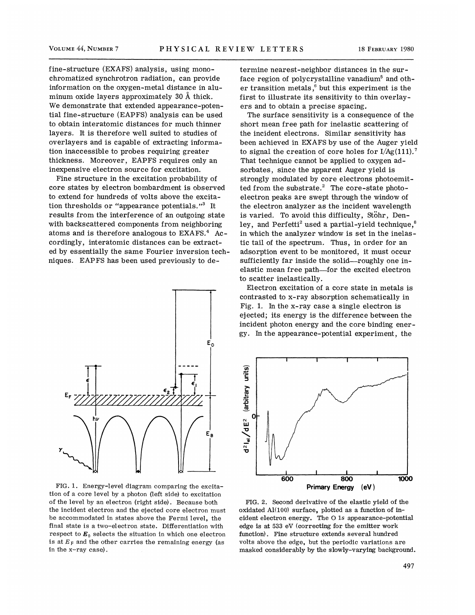fine-structure (EXAFS) analysis, using monochromatized synchrotron radiation, can provide information on the oxygen-metal distance in aluminum oxide layers approximately 30 A thick. We demonstrate that extended appearance-potential fine-structure (EAPFS) analysis can be used to obtain interatomic distances for much thinner layers. It is therefore well suited to studies of overlayers and is capable of extracting information inaccessible to probes requiring greater thickness, Moreover, EAPFS requires only an inexpensive electron source for excitation.

Fine structure in the excitation probability of core states by electron bombardment is observed to extend for hundreds of volts above the excitation thresholds or "appearance potentials."<sup>3</sup> It results from the interference of an outgoing state with backscattered components from neighboring atoms and is therefore analogous to  $EXAFS<sup>4</sup>$  Accordingly, interatomic distances can be extracted by essentially the same Fourier inversion techniques. EAPFS has been used previously to de-



FIG. 1. Energy-level diagram comparing the excitation of a core level by a photon (left side) to excitation of the level by an electron (right side). Because both the incident electron and the ejected core electron must be accommodated in states above the Fermi level, the final state is a two-electron state. Differentiation with respect to  $\mathbf{E}_0$  selects the situation in which one electron is at  $E_F$  and the other carries the remaining energy (as in the x-ray case) .

termine nearest-neighbor distances in the surface region of polycrystalline vanadium<sup>5</sup> and othrace region or polycrystamme vanaulum and ou<br>er transition metals,<sup>6</sup> but this experiment is the first to illustrate its sensitivity to thin overlayers and to obtain a precise spacing.

The surface sensitivity is a consequence of the short mean free path for inelastic scattering of the incident electrons. Similar sensitivity has been achieved in EXAFS by use of the Auger yield to signal the creation of core holes for  $I/Ag(111).$ <sup>7</sup> That technique cannot be applied to oxygen adsorbates, since the apparent Auger yield is strongly modulated by core electrons photoemitted from the substrate.<sup>2</sup> The core-state photoelectron peaks are swept through the window of the electron analyzer as the incident wavelength is varied. To avoid this difficulty, Stohr, Denley, and Perfetti<sup>2</sup> used a partial-yield technique, $^8$ in which the analyzer window is set in the inelastic tail of the spectrum. Thus, in order for an adsorption event to be monitored, it must occur sufficiently far inside the solid—roughly one inelastic mean free path—for the excited electron to scatter inelastically.

Electron excitation of a core state in metals is contrasted to x-ray absorption schematically in Fig. 1. In the x-ray case a single electron is ejected; its energy is the difference between the incident photon energy and the core binding energy. In the appearance-potential experiment, the



FIG. 2. Second derivative of the elastic yield of the oxidated  $Al(100)$  surface, plotted as a function of incident electron energy. The 0 1s appearance-potential edge is at 533 eV (correcting for the emitter work function). Fine structure extends several hundred volts above the edge, but the periodic variations are masked considerably by the slowly-varying background.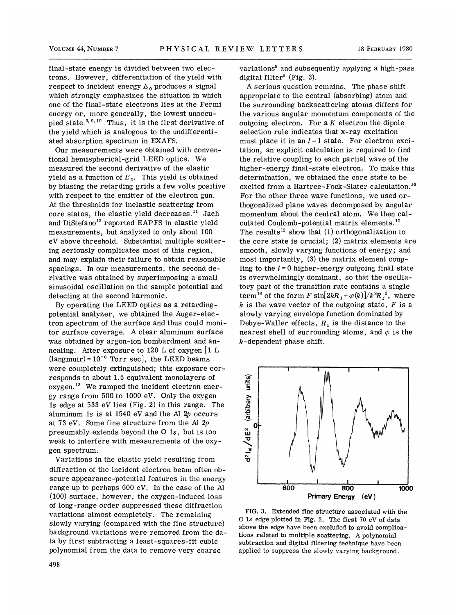final-state energy is divided between two electrons. However, differentiation of the yield with respect to incident energy  $E_0$  produces a signal which strongly emphasizes the situation in which one of the final-state electrons lies at the Fermi energy or, more generally, the lowest unoccuence of the rinar state effections rise at the referred energy or, more generally, the lowest unoccupied state.<sup>3, 9, 10</sup> Thus, it is the first derivative of the yield which is analogous to the undifferentiated absorption spectrum in EXAFS.

Our measurements were obtained with conventional hemispherical-grid LEED optics. We measured the second derivative of the elastic yield as a function of  $E_0$ . This yield is obtained by biasing the retarding grids a few volts positive with respect to the emitter of the electron gun. At the thresholds for inelastic scattering from At the thresholds for inelastic scattering from<br>core states, the elastic yield decreases.<sup>11</sup> Jach and DiStefano<sup>12</sup> reported EAPFS in elastic yield measurements, but analyzed to only about 100 eV above threshold. Substantial multiple scattering seriously complicates most of this region, and may explain their failure to obtain reasonable spacings. In our measurements, the second derivative was obtained by superimposing a small sinusoidal oscillation on the sample potential and detecting at the second harmonic.

By operating the LEED optics as a retardingpotential analyzer, we obtained the Auger-electron spectrum of the surface and thus could monitor surface coverage. A clear aluminum surface was obtained by argon-ion bombardment and annealing. After exposure to 120 L of oxygen [1 L  $(langmuir) = 10^{-6}$  Torr sec], the LEED beams were completely extinguished; this exposure corresponds to about 1.5 equivalent monolayers of responds to about 1.5 equivalent monolayers of<br>oxygen.<sup>13</sup> We ramped the incident electron energy range from 500 to 1000 eV. Only the oxygen ls edge at 533 eV lies (Fig. 2) in this range. The aluminum 1s is at 1540 eV and the Al  $2p$  occurs at 73 eV. Some fine structure from the Al  $2p$ presumably extends beyond the 0 1s, but is too weak to interfere with measurements of the oxygen spectrum.

Variations in the elastic yield resulting from diffraction of the incident electron beam often obscure appearance-potential features in the energy range up to perhaps 600 eV. In the case of the Al (100) surface, however, the oxygen-induced loss of long-range order suppressed these diffraction variations almost completely, The remaining slowly varying (compared with the fine structure) background variations were removed from the data by first subtracting a least-squares-fit cubic polynomial from the data to remove very coarse

variations<sup>5</sup> and subsequently applying a high-pass digital filter $^{6}$  (Fig. 3).

A serious question remains. The phase shift appropriate to the central (absorbing) atom and the surrounding backscattering atoms differs for the various angular momentum components of the outgoing electron. For a  $K$  electron the dipole selection rule indicates that x-ray excitation must place it in an  $l=1$  state. For electron excitation, an explicit calculation is required to find the relative coupling to each partial wave of the higher-energy final-state electron. To make this determination, we obtained the core state to be excited from a Hartree-Fock-Slater calculation.<sup>14</sup> For the other three wave functions, we used orthogonalized plane waves decomposed by angular momentum about the central atom. We then cal-<br>culated Coulomb-potential matrix elements.<sup>10</sup> culated Coulomb-potential matrix elements. The results<sup>15</sup> show that  $(1)$  orthogonalization to the core state is crucial; (2) matrix elements are smooth, slowly varying functions of energy; and most importantly, (3) the matrix element coupling to the  $l = 0$  higher-energy outgoing final state is overwhelmingly dominant, so that the oscillatory part of the transition rate contains a single term<sup>16</sup> of the form F sin $\left[2kR_1+\varphi(k)\right]/k^3R_f^2$ , where k is the wave vector of the outgoing state,  $F$  is a slowly varying envelope function dominated by Debye-Waller effects,  $R_1$  is the distance to the nearest shell of surrounding atoms, and  $\varphi$  is the  $k$ -dependent phase shift.



FIG. 3. Extended fine structure associated with the 0 ls edge plotted in Fig. 2. The first <sup>70</sup> eV of data above the edge have been excluded to avoid complications related to multiple scattering. A polynomial subtraction and digital filtering technique have been applied to suppress the slowly varying background.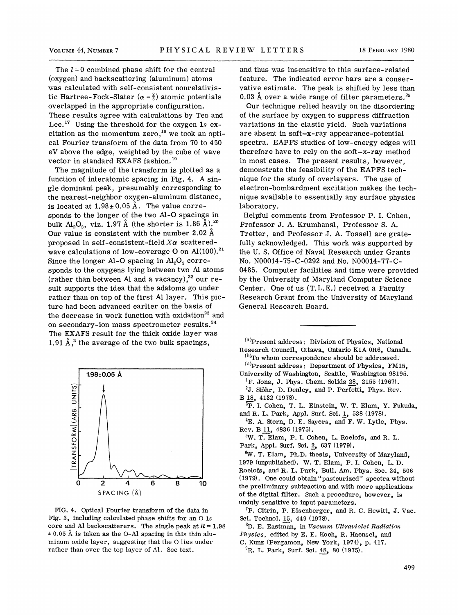The  $l = 0$  combined phase shift for the central (oxygen) and backscattering (aluminum) atoms was calculated with self-consistent nonrelativistic Hartree-Fock-Slater ( $\alpha = \frac{2}{3}$ ) atomic potentials overlapped in the appropriate configuration. These results agree with calculations by Teo and These results agree with calculations by Teo and Lee.<sup>17</sup> Using the threshold for the oxygen 1s ex-<br>citation as the momentum zero,<sup>18</sup> we took an opticitation as the momentum zero,  $^{18}$  we took an optical Fourier transform of the data from 70 to 450 eV above the edge, weighted by the <mark>cu</mark>be of wave<br>vector in standard EXAFS fashion.<sup>19</sup>

vector in standard EXAFS fashion. The magnitude of the transform is plotted as a function of interatomic spacing in Fig. 4. A single dominant peak, presumably corresponding to the nearest-neighbor oxygen-aluminum distance, is located at  $1.98 \pm 0.05$  Å. The value corresponds to the longer of the two Al-O spacings in<br>bulk  $Al_2O_3$ , viz. 1.97 Å (the shorter is 1.86 Å).<sup>20</sup> bulk  $\text{Al}_2\text{O}_3$ , viz. 1.97 Å (the shorter is 1.86 Å).<sup>20</sup> Our value is consistent with the number 2.02 A proposed in self-consistent-field  $X\alpha$  scatteredproposed in self-consistent-field  $X\alpha$  scattered-<br>wave calculations of low-coverage O on Al(100).<sup>21</sup> Since the longer Al-O spacing in  $\text{Al}_2\text{O}_3$  corresponds to the oxygens lying between two Al atoms<br>(rather than between Al and a vacancy).<sup>22</sup> our re-(rather than between Al and a vacancy),  $^{22}$  our result supports the idea that the adatoms go under rather than on top of the first Al layer. This picture had been advanced earlier on the basis of the decrease in work function with oxidation<sup>23</sup> and the decrease in work function with oxidation<sup>23</sup> on secondary-ion mass spectrometer results. $24$ The EXAFS result for the thick oxide layer was The EXATS result for the thick oxide layer



FIG. 4. Optical Fourier transform of the data in Fig. 3, including calculated phase shifts for an 0 1s core and Al backscatterers. The single peak at  $R = 1.98$  $\pm$  0.05 Å is taken as the O-Al spacing in this thin aluminum oxide layer, suggesting that the 0 lies under rather than over the top layer of Al. See text.

and thus was insensitive to this surface-related feature. The indicated error bars are a conservative estimate. The peak is shifted by less than<br>0.03 Å over a wide range of filter parameters.<sup>25</sup> 0.03 Å over a wide range of filter parameters.  $25$ 

Our technique relied heavily on the disordering of the surface by oxygen to suppress diffraction variations in the elastic yield. Such variations are absent in soft-x-ray appearance-potential spectra. EAPFS studies of low-energy edges will therefore have to rely on the soft-x-ray method in most cases. The present results, however, demonstrate the feasibility of the EAPFS technique for the study of overlayers. The use of electron-bombardment excitation makes the technique available to essentially any surface physics laboratory.

Helpful comments from Professor P. I. Cohen, Professor J. A. Krumhansl, Professor S. A. Tretter, and Professor J. A. Tossell are gratefully acknowledged. This work was supported by the U. S. Office of Naval Research under Grants No. N00014-75-C-0292 and No. N00014-77-C-0485. Computer facilities and time were provided by the University of Maryland Computer Science Center. One of us (T.L.E.) received a Faculty Research Grant from the University of Maryland General Research Board.

 Present address: Division of Physics, National Research Council, Ottawa, Ontario K1A OR6, Canada.

 $^{(b)}$ To whom correspondence should be addressed.  ${}^{(c)}$ Present address: Department of Physics, FM15,

University of Washington, Seattle, Washington 98195.  ${}^{1}$ F. Jona, J. Phys. Chem. Solids 28, 2155 (1967).

 $2J.$  Stöhr, D. Denley, and P. Perfetti, Phys. Rev. 8 18, 4132 (1978).

<sup>3</sup>P. I. Cohen, T. L. Einstein, W. T. Elam, Y. Fukuda, and R. L. Park, Appl. Surf. Sci. 1, 538 (1978).

 ${}^{4}E$ . A. Stern, D. E. Sayers, and F. W. Lytle, Phys. Rev. B 11, 4836 (1975).

'W. T. Elam, P. I. Cohen, L. Roelofs, and R. L. Park, Appl. Surf. Sci. 2, 637 (1979).

W. T. Elam, Ph.D. thesis, University of Maryland, 1979 (unpublished). W. T. Elam, P. I. Cohen, L. D. Roelofs, and R. L. Park, Bull. Am. Phys. Soc. 24, 506 (1979). One could obtain "pasteurized" spectra without the preliminary subtraction and with more applications of the digital filter. Such a procedure, however, is unduly sensitive to input parameters.

 ${}^{7}P$ . Citrin, P. Eisenberger, and R. C. Hewitt, J. Vac. Sci. Technol. 15, 449 (1978).

 ${}^{8}D.$  E. Eastman, in Vacuum Ultraviolet Radiation Physics, edited by E. E. Koch, R. Haensel, and C. Kunz (Pergamon, New York, 1974), p. 417.

 ${}^{9}$ R. L. Park, Surf. Sci. 48, 80 (1975).